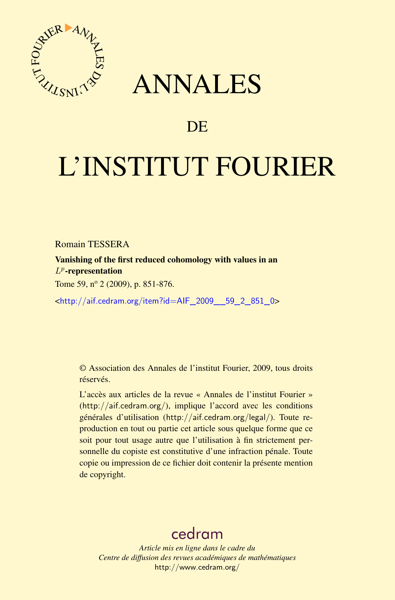

## ANNALES

## **DE**

# L'INSTITUT FOURIER

Romain TESSERA

Vanishing of the first reduced cohomology with values in an  $L^p$ -representation

Tome 59, nº 2 (2009), p. 851-876.

<[http://aif.cedram.org/item?id=AIF\\_2009\\_\\_59\\_2\\_851\\_0](http://aif.cedram.org/item?id=AIF_2009__59_2_851_0)>

© Association des Annales de l'institut Fourier, 2009, tous droits réservés.

L'accès aux articles de la revue « Annales de l'institut Fourier » (<http://aif.cedram.org/>), implique l'accord avec les conditions générales d'utilisation (<http://aif.cedram.org/legal/>). Toute reproduction en tout ou partie cet article sous quelque forme que ce soit pour tout usage autre que l'utilisation à fin strictement personnelle du copiste est constitutive d'une infraction pénale. Toute copie ou impression de ce fichier doit contenir la présente mention de copyright.

## [cedram](http://www.cedram.org/)

*Article mis en ligne dans le cadre du Centre de diffusion des revues académiques de mathématiques* <http://www.cedram.org/>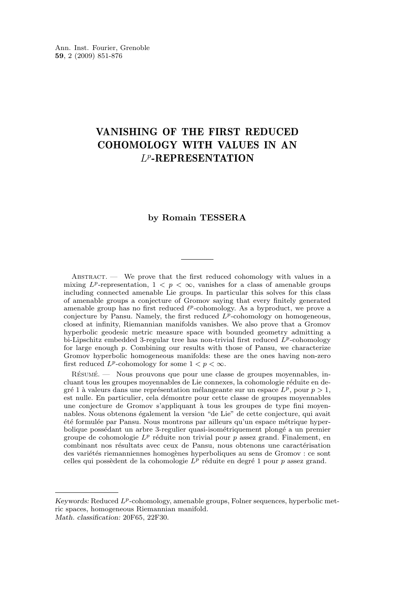### VANISHING OF THE FIRST REDUCED COHOMOLOGY WITH VALUES IN AN L<sup>p</sup>-REPRESENTATION

#### **by Romain TESSERA**

 $ABSTRACT$  — We prove that the first reduced cohomology with values in a mixing  $L^p$ -representation,  $1 \lt p \lt \infty$ , vanishes for a class of amenable groups including connected amenable Lie groups. In particular this solves for this class of amenable groups a conjecture of Gromov saying that every finitely generated amenable group has no first reduced  $\ell^p$ -cohomology. As a byproduct, we prove a conjecture by Pansu. Namely, the first reduced  $L^p$ -cohomology on homogeneous, closed at infinity, Riemannian manifolds vanishes. We also prove that a Gromov hyperbolic geodesic metric measure space with bounded geometry admitting a bi-Lipschitz embedded 3-regular tree has non-trivial first reduced  $\hat{L}^p$ -cohomology for large enough p. Combining our results with those of Pansu, we characterize Gromov hyperbolic homogeneous manifolds: these are the ones having non-zero first reduced  $L^p$ -cohomology for some  $1 < p < \infty$ .

Résumé. — Nous prouvons que pour une classe de groupes moyennables, incluant tous les groupes moyennables de Lie connexes, la cohomologie réduite en degré 1 à valeurs dans une représentation mélangeante sur un espace  $L^p$ , pour  $p > 1$ , est nulle. En particulier, cela démontre pour cette classe de groupes moyennables une conjecture de Gromov s'appliquant à tous les groupes de type fini moyennables. Nous obtenons également la version "de Lie" de cette conjecture, qui avait été formulée par Pansu. Nous montrons par ailleurs qu'un espace métrique hyperbolique possédant un arbre 3-regulier quasi-isométriquement plongé a un premier groupe de cohomologie  $L^p$  réduite non trivial pour p assez grand. Finalement, en combinant nos résultats avec ceux de Pansu, nous obtenons une caractérisation des variétés riemanniennes homogènes hyperboliques au sens de Gromov : ce sont celles qui possèdent de la cohomologie  $L^p$  réduite en degré 1 pour p assez grand.

*Keywords:* Reduced  $L^p$ -cohomology, amenable groups, Folner sequences, hyperbolic metric spaces, homogeneous Riemannian manifold. *Math. classification:* 20F65, 22F30.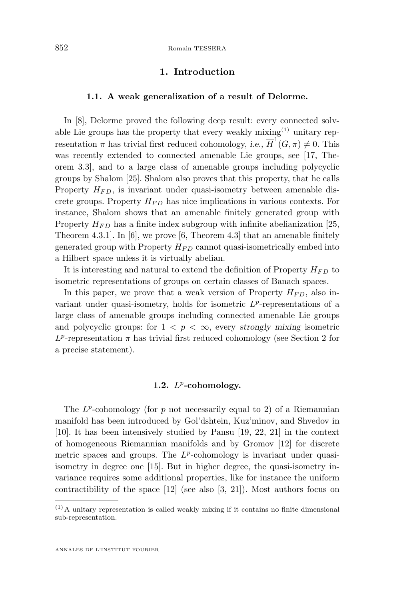#### **1. Introduction**

#### **1.1. A weak generalization of a result of Delorme.**

In [\[8\]](#page-25-0), Delorme proved the following deep result: every connected solvable Lie groups has the property that every weakly mixing $(1)$  unitary representation  $\pi$  has trivial first reduced cohomology, *i.e.*,  $\overline{H}^1(G,\pi) \neq 0$ . This was recently extended to connected amenable Lie groups, see [\[17,](#page-26-0) Theorem 3.3], and to a large class of amenable groups including polycyclic groups by Shalom [\[25\]](#page-26-0). Shalom also proves that this property, that he calls Property  $H_{FD}$ , is invariant under quasi-isometry between amenable discrete groups. Property  $H_{FD}$  has nice implications in various contexts. For instance, Shalom shows that an amenable finitely generated group with Property  $H_{FD}$  has a finite index subgroup with infinite abelianization [\[25,](#page-26-0) Theorem 4.3.1]. In [\[6\]](#page-25-0), we prove [\[6,](#page-25-0) Theorem 4.3] that an amenable finitely generated group with Property  $H_{FD}$  cannot quasi-isometrically embed into a Hilbert space unless it is virtually abelian.

It is interesting and natural to extend the definition of Property  $H_{FD}$  to isometric representations of groups on certain classes of Banach spaces.

In this paper, we prove that a weak version of Property  $H_{FD}$ , also invariant under quasi-isometry, holds for isometric  $L^p$ -representations of a large class of amenable groups including connected amenable Lie groups and polycyclic groups: for  $1 \leq p \leq \infty$ , every *strongly mixing* isometric  $L^p$ -representation  $\pi$  has trivial first reduced cohomology (see Section [2](#page-4-0) for a precise statement).

#### **1.2.** L p **-cohomology.**

The  $L^p$ -cohomology (for p not necessarily equal to 2) of a Riemannian manifold has been introduced by Gol'dshtein, Kuz'minov, and Shvedov in [\[10\]](#page-26-0). It has been intensively studied by Pansu [\[19,](#page-26-0) [22,](#page-26-0) [21\]](#page-26-0) in the context of homogeneous Riemannian manifolds and by Gromov [\[12\]](#page-26-0) for discrete metric spaces and groups. The  $L^p$ -cohomology is invariant under quasiisometry in degree one [\[15\]](#page-26-0). But in higher degree, the quasi-isometry invariance requires some additional properties, like for instance the uniform contractibility of the space [\[12\]](#page-26-0) (see also [\[3,](#page-25-0) [21\]](#page-26-0)). Most authors focus on

 $(1)$  A unitary representation is called weakly mixing if it contains no finite dimensional sub-representation.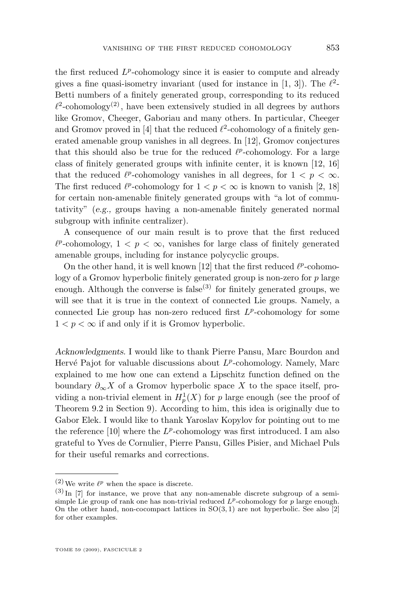the first reduced  $L^p$ -cohomology since it is easier to compute and already gives a fine quasi-isometry invariant (used for instance in [\[1,](#page-25-0) [3\]](#page-25-0)). The  $\ell^2$ -Betti numbers of a finitely generated group, corresponding to its reduced  $\ell^2$ -cohomology<sup>(2)</sup>, have been extensively studied in all degrees by authors like Gromov, Cheeger, Gaboriau and many others. In particular, Cheeger and Gromov proved in [\[4\]](#page-25-0) that the reduced  $\ell^2$ -cohomology of a finitely generated amenable group vanishes in all degrees. In [\[12\]](#page-26-0), Gromov conjectures that this should also be true for the reduced  $\ell^p$ -cohomology. For a large class of finitely generated groups with infinite center, it is known [\[12,](#page-26-0) [16\]](#page-26-0) that the reduced  $\ell^p$ -cohomology vanishes in all degrees, for  $1 < p < \infty$ . The first reduced  $\ell^p$ -cohomology for  $1 < p < \infty$  is known to vanish [\[2,](#page-25-0) [18\]](#page-26-0) for certain non-amenable finitely generated groups with "a lot of commu-

tativity" (*e.g.,* groups having a non-amenable finitely generated normal subgroup with infinite centralizer).

A consequence of our main result is to prove that the first reduced  $\ell^p$ -cohomology,  $1 < p < \infty$ , vanishes for large class of finitely generated amenable groups, including for instance polycyclic groups.

On the other hand, it is well known [\[12\]](#page-26-0) that the first reduced  $\ell^p$ -cohomology of a Gromov hyperbolic finitely generated group is non-zero for p large enough. Although the converse is false<sup>(3)</sup> for finitely generated groups, we will see that it is true in the context of connected Lie groups. Namely, a connected Lie group has non-zero reduced first  $L^p$ -cohomology for some  $1 < p < \infty$  if and only if it is Gromov hyperbolic.

*Acknowledgments.* I would like to thank Pierre Pansu, Marc Bourdon and Hervé Pajot for valuable discussions about  $L^p$ -cohomology. Namely, Marc explained to me how one can extend a Lipschitz function defined on the boundary  $\partial_{\infty} X$  of a Gromov hyperbolic space X to the space itself, providing a non-trivial element in  $H_p^1(X)$  for p large enough (see the proof of Theorem [9.2](#page-21-0) in Section [9\)](#page-21-0). According to him, this idea is originally due to Gabor Elek. I would like to thank Yaroslav Kopylov for pointing out to me the reference  $[10]$  where the  $L^p$ -cohomology was first introduced. I am also grateful to Yves de Cornulier, Pierre Pansu, Gilles Pisier, and Michael Puls for their useful remarks and corrections.

<sup>&</sup>lt;sup>(2)</sup> We write  $\ell^p$  when the space is discrete.

 $^{(3)}$  In [\[7\]](#page-25-0) for instance, we prove that any non-amenable discrete subgroup of a semisimple Lie group of rank one has non-trivial reduced  $L^p$ -cohomology for p large enough. On the other hand, non-cocompact lattices in  $SO(3, 1)$  are not hyperbolic. See also [\[2\]](#page-25-0) for other examples.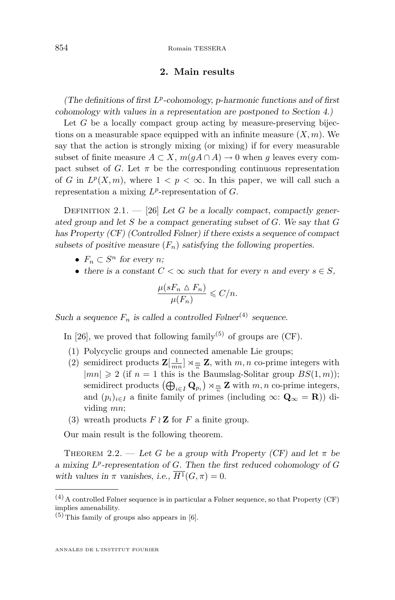#### **2. Main results**

<span id="page-4-0"></span>*(The definitions of first* L p *-cohomology, p-harmonic functions and of first cohomology with values in a representation are postponed to Section [4.](#page-7-0))*

Let  $G$  be a locally compact group acting by measure-preserving bijections on a measurable space equipped with an infinite measure  $(X, m)$ . We say that the action is strongly mixing (or mixing) if for every measurable subset of finite measure  $A \subset X$ ,  $m(qA \cap A) \to 0$  when g leaves every compact subset of G. Let  $\pi$  be the corresponding continuous representation of G in  $L^p(X,m)$ , where  $1 < p < \infty$ . In this paper, we will call such a representation a mixing  $L^p$ -representation of  $G$ .

Definition 2.1. — [\[26\]](#page-26-0) *Let* G *be a locally compact, compactly generated group and let* S *be a compact generating subset of* G*. We say that* G *has Property (CF) (Controlled Følner) if there exists a sequence of compact* subsets of positive measure  $(F_n)$  satisfying the following properties.

- $F_n \subset S^n$  for every *n*;
- there is a constant  $C < \infty$  such that for every n and every  $s \in S$ ,

$$
\frac{\mu(sF_n \vartriangle F_n)}{\mu(F_n)} \leqslant C/n.
$$

*Such a sequence*  $F_n$  *is called a controlled Følner*<sup>(4)</sup> *sequence.* 

In [\[26\]](#page-26-0), we proved that following family<sup>(5)</sup> of groups are (CF).

- (1) Polycyclic groups and connected amenable Lie groups;
- (2) semidirect products  $\mathbf{Z}[\frac{1}{mn}] \rtimes \frac{m}{n} \mathbf{Z}$ , with  $m, n$  co-prime integers with  $|mn| \geq 2$  (if  $n = 1$  this is the Baumslag-Solitar group  $BS(1, m)$ ); semidirect products  $(\bigoplus_{i\in I} \mathbf{Q}_{p_i}) \rtimes_{\frac{m}{n}} \mathbf{Z}$  with  $m, n$  co-prime integers, and  $(p_i)_{i\in I}$  a finite family of primes (including  $\infty$ :  $\mathbf{Q}_{\infty} = \mathbf{R}$ )) dividing mn;
- (3) wreath products  $F \wr \mathbf{Z}$  for F a finite group.

Our main result is the following theorem.

THEOREM 2.2. — Let G be a group with Property (CF) and let  $\pi$  be *a mixing* L p *-representation of* G*. Then the first reduced cohomology of* G *with values in*  $\pi$  *vanishes, i.e.,*  $\overline{H^1}(G,\pi) = 0$ .

 $(4)$  A controlled Følner sequence is in particular a Følner sequence, so that Property (CF) implies amenability.

 $(5)$  This family of groups also appears in [\[6\]](#page-25-0).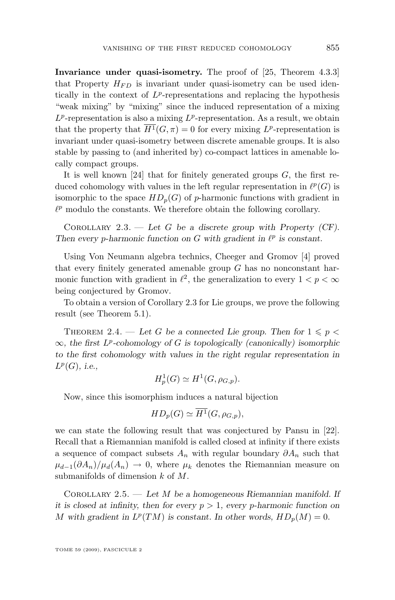<span id="page-5-0"></span>**Invariance under quasi-isometry.** The proof of [\[25,](#page-26-0) Theorem 4.3.3] that Property  $H_{FD}$  is invariant under quasi-isometry can be used identically in the context of  $L^p$ -representations and replacing the hypothesis "weak mixing" by "mixing" since the induced representation of a mixing  $L^p$ -representation is also a mixing  $L^p$ -representation. As a result, we obtain that the property that  $\overline{H^1}(G,\pi) = 0$  for every mixing  $L^p$ -representation is invariant under quasi-isometry between discrete amenable groups. It is also stable by passing to (and inherited by) co-compact lattices in amenable locally compact groups.

It is well known [\[24\]](#page-26-0) that for finitely generated groups  $G$ , the first reduced cohomology with values in the left regular representation in  $\ell^p(G)$  is isomorphic to the space  $HD_p(G)$  of p-harmonic functions with gradient in  $\ell^p$  modulo the constants. We therefore obtain the following corollary.

Corollary 2.3. — *Let* G *be a discrete group with Property (CF).* Then every *p*-harmonic function on  $G$  with gradient in  $\ell^p$  is constant.

Using Von Neumann algebra technics, Cheeger and Gromov [\[4\]](#page-25-0) proved that every finitely generated amenable group  $G$  has no nonconstant harmonic function with gradient in  $\ell^2$ , the generalization to every  $1 < p < \infty$ being conjectured by Gromov.

To obtain a version of Corollary 2.3 for Lie groups, we prove the following result (see Theorem [5.1\)](#page-12-0).

THEOREM 2.4. — Let G be a connected Lie group. Then for  $1 \leqslant p <$ ∞*, the first* L p *-cohomology of* G *is topologically (canonically) isomorphic to the first cohomology with values in the right regular representation in* L p (G)*, i.e.,*

$$
H_p^1(G) \simeq H^1(G, \rho_{G,p}).
$$

Now, since this isomorphism induces a natural bijection

$$
HD_p(G) \simeq H^1(G, \rho_{G,p}),
$$

we can state the following result that was conjectured by Pansu in [\[22\]](#page-26-0). Recall that a Riemannian manifold is called closed at infinity if there exists a sequence of compact subsets  $A_n$  with regular boundary  $\partial A_n$  such that  $\mu_{d-1}(\partial A_n)/\mu_d(A_n) \to 0$ , where  $\mu_k$  denotes the Riemannian measure on submanifolds of dimension k of M.

Corollary 2.5. — *Let* M *be a homogeneous Riemannian manifold. If it is closed at infinity, then for every*  $p > 1$ , every p-harmonic function on M with gradient in  $L^p(TM)$  is constant. In other words,  $HD_p(M) = 0$ .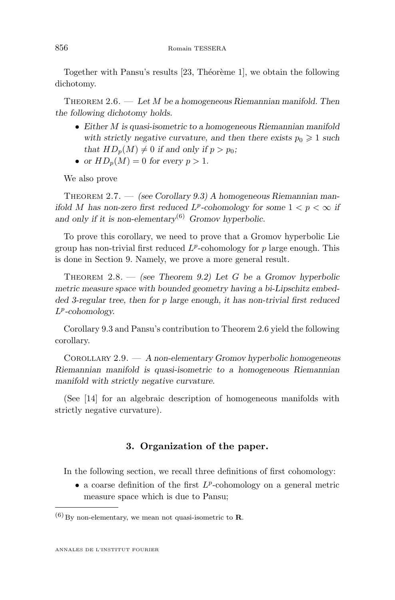<span id="page-6-0"></span>Together with Pansu's results [\[23,](#page-26-0) Théorème 1], we obtain the following dichotomy.

Theorem 2.6. — *Let* M *be a homogeneous Riemannian manifold. Then the following dichotomy holds.*

- *Either* M *is quasi-isometric to a homogeneous Riemannian manifold* with strictly negative curvature, and then there exists  $p_0 \geq 1$  such *that*  $HD_p(M) \neq 0$  *if and only if*  $p > p_0$ *;*
- or  $HD_p(M) = 0$  for every  $p > 1$ .

We also prove

Theorem 2.7. — *(see Corollary [9.3\)](#page-22-0) A homogeneous Riemannian manifold* M has non-zero first reduced  $L^p$ -cohomology for some  $1 < p < \infty$  if *and only if it is non-elementary*(6) *Gromov hyperbolic.*

To prove this corollary, we need to prove that a Gromov hyperbolic Lie group has non-trivial first reduced  $L^p$ -cohomology for p large enough. This is done in Section [9.](#page-21-0) Namely, we prove a more general result.

Theorem 2.8. — *(see Theorem [9.2\)](#page-21-0) Let* G *be a Gromov hyperbolic metric measure space with bounded geometry having a bi-Lipschitz embedded 3-regular tree, then for* p *large enough, it has non-trivial first reduced* L p *-cohomology.*

Corollary [9.3](#page-22-0) and Pansu's contribution to Theorem 2.6 yield the following corollary.

Corollary 2.9. — *A non-elementary Gromov hyperbolic homogeneous Riemannian manifold is quasi-isometric to a homogeneous Riemannian manifold with strictly negative curvature.*

(See [\[14\]](#page-26-0) for an algebraic description of homogeneous manifolds with strictly negative curvature).

#### **3. Organization of the paper.**

In the following section, we recall three definitions of first cohomology:

• a coarse definition of the first  $L^p$ -cohomology on a general metric measure space which is due to Pansu;

 $(6)$  By non-elementary, we mean not quasi-isometric to **R**.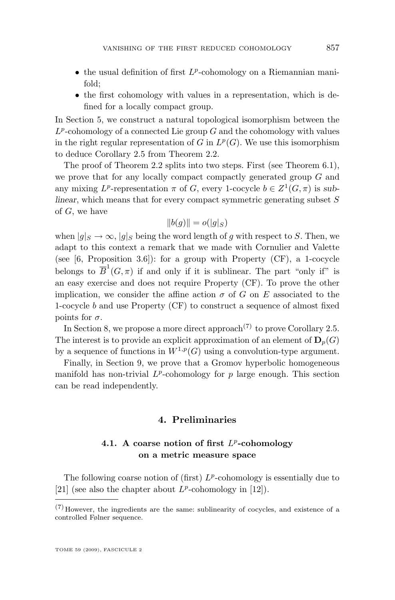- <span id="page-7-0"></span> $\bullet$  the usual definition of first  $L^p$ -cohomology on a Riemannian manifold;
- the first cohomology with values in a representation, which is defined for a locally compact group.

In Section [5,](#page-11-0) we construct a natural topological isomorphism between the  $L^p$ -cohomology of a connected Lie group G and the cohomology with values in the right regular representation of  $G$  in  $L^p(G)$ . We use this isomorphism to deduce Corollary [2.5](#page-5-0) from Theorem [2.2.](#page-4-0)

The proof of Theorem [2.2](#page-4-0) splits into two steps. First (see Theorem [6.1\)](#page-15-0), we prove that for any locally compact compactly generated group  $G$  and any mixing  $L^p$ -representation  $\pi$  of G, every 1-cocycle  $b \in Z^1(G, \pi)$  is sub*linear*, which means that for every compact symmetric generating subset S of G, we have

$$
||b(g)|| = o(|g|_S)
$$

when  $|q|_S \to \infty$ ,  $|q|_S$  being the word length of q with respect to S. Then, we adapt to this context a remark that we made with Cornulier and Valette (see  $[6,$  Proposition 3.6]): for a group with Property  $(CF)$ , a 1-cocycle belongs to  $\overline{B}^1(G,\pi)$  if and only if it is sublinear. The part "only if" is an easy exercise and does not require Property (CF). To prove the other implication, we consider the affine action  $\sigma$  of G on E associated to the 1-cocycle b and use Property (CF) to construct a sequence of almost fixed points for  $\sigma$ .

In Section [8,](#page-19-0) we propose a more direct approach<sup>(7)</sup> to prove Corollary [2.5.](#page-5-0) The interest is to provide an explicit approximation of an element of  $\mathbf{D}_{p}(G)$ by a sequence of functions in  $W^{1,p}(G)$  using a convolution-type argument.

Finally, in Section [9,](#page-21-0) we prove that a Gromov hyperbolic homogeneous manifold has non-trivial  $L^p$ -cohomology for p large enough. This section can be read independently.

#### **4. Preliminaries**

#### **4.1. A coarse notion of first** L p **-cohomology on a metric measure space**

The following coarse notion of (first)  $L^p$ -cohomology is essentially due to [\[21\]](#page-26-0) (see also the chapter about  $L^p$ -cohomology in [\[12\]](#page-26-0)).

 $(7)$  However, the ingredients are the same: sublinearity of cocycles, and existence of a controlled Følner sequence.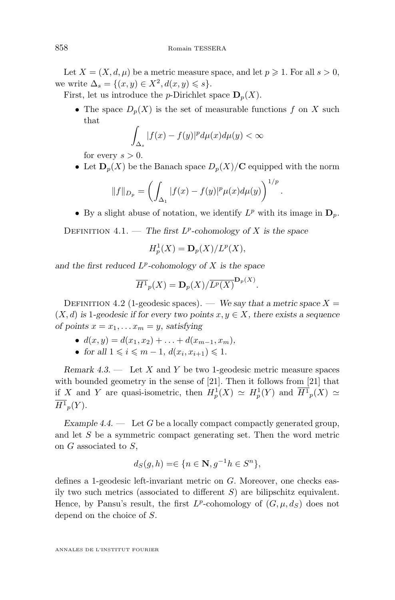Let  $X = (X, d, \mu)$  be a metric measure space, and let  $p \geq 1$ . For all  $s > 0$ , we write  $\Delta_s = \{(x, y) \in X^2, d(x, y) \leq s\}.$ 

First, let us introduce the *p*-Dirichlet space  $D_n(X)$ .

• The space  $D_p(X)$  is the set of measurable functions f on X such that

$$
\int_{\Delta_s} |f(x) - f(y)|^p d\mu(x) d\mu(y) < \infty
$$

for every  $s > 0$ .

• Let  $\mathbf{D}_n(X)$  be the Banach space  $D_n(X)/\mathbf{C}$  equipped with the norm

$$
||f||_{D_p} = \left(\int_{\Delta_1} |f(x) - f(y)|^p \mu(x) d\mu(y)\right)^{1/p}.
$$

• By a slight abuse of notation, we identify  $L^p$  with its image in  $\mathbf{D}_p$ .

DEFINITION  $4.1.$  — *The first L<sup>p</sup>*-cohomology of X is the space

$$
H_p^1(X) = \mathbf{D}_p(X)/L^p(X),
$$

*and the first reduced* L p *-cohomology of* X *is the space*

$$
\overline{H^1}_p(X) = \mathbf{D}_p(X) / \overline{L^p(X)}^{\mathbf{D}_p(X)}.
$$

DEFINITION 4.2 (1-geodesic spaces). — *We say that a metric space*  $X =$  $(X, d)$  *is* 1*-geodesic if for every two points*  $x, y \in X$ *, there exists a sequence of points*  $x = x_1, \ldots, x_m = y$ , *satisfying* 

- $d(x, y) = d(x_1, x_2) + \ldots + d(x_{m-1}, x_m)$
- for all  $1 \leq i \leq m-1$ ,  $d(x_i, x_{i+1}) \leq 1$ .

*Remark 4.3. —* Let X and Y be two 1-geodesic metric measure spaces with bounded geometry in the sense of [\[21\]](#page-26-0). Then it follows from [21] that if X and Y are quasi-isometric, then  $H_p^1(X) \simeq H_p^1(Y)$  and  $\overline{H^1}_p(X) \simeq$  $H^1{}_p(Y)$ .

*Example 4.4.* — Let G be a locally compact compactly generated group, and let S be a symmetric compact generating set. Then the word metric on G associated to S,

$$
d_S(g, h) = \in \{ n \in \mathbf{N}, g^{-1}h \in S^n \},
$$

defines a 1-geodesic left-invariant metric on G. Moreover, one checks easily two such metrics (associated to different  $S$ ) are bilipschitz equivalent. Hence, by Pansu's result, the first  $L^p$ -cohomology of  $(G, \mu, d_S)$  does not depend on the choice of S.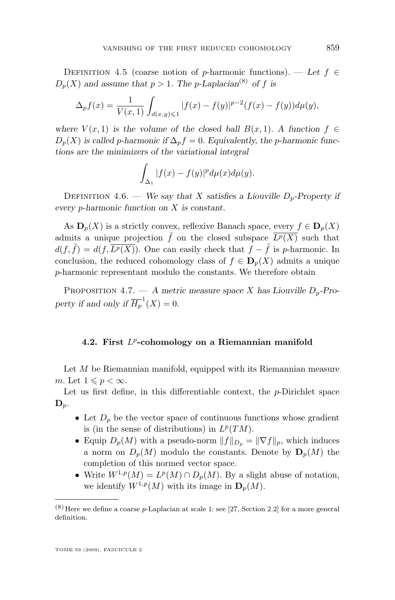<span id="page-9-0"></span>DEFINITION 4.5 (coarse notion of p-harmonic functions). — Let  $f \in$  $D_n(X)$  and assume that  $p > 1$ . The *p*-Laplacian<sup>(8)</sup> of f is

$$
\Delta_p f(x) = \frac{1}{V(x, 1)} \int_{d(x, y) \leq 1} |f(x) - f(y)|^{p-2} (f(x) - f(y)) d\mu(y),
$$

*where*  $V(x, 1)$  *is the volume of the closed ball*  $B(x, 1)$ *. A function*  $f \in$  $D_p(X)$  *is called p-harmonic if*  $\Delta_p f = 0$ *. Equivalently, the p-harmonic functions are the minimizers of the variational integral*

$$
\int_{\Delta_1} |f(x) - f(y)|^p d\mu(x) d\mu(y).
$$

DEFINITION 4.6. — *We say that* X *satisfies a Liouville*  $D_p$ -Property if *every* p*-harmonic function on* X *is constant.*

As  $\mathbf{D}_p(X)$  is a strictly convex, reflexive Banach space, every  $f \in \mathbf{D}_p(X)$ admits a unique projection  $\tilde{f}$  on the closed subspace  $\overline{L^p(X)}$  such that  $d(f, \tilde{f}) = d(f, \overline{L^p(X)})$ . One can easily check that  $f - \tilde{f}$  is p-harmonic. In conclusion, the reduced cohomology class of  $f \in D_p(X)$  admits a unique p-harmonic representant modulo the constants. We therefore obtain

PROPOSITION 4.7.  $- A$  metric measure space X has Liouville  $D_p$ -Property if and only if  $\overline{H_p}^1(X) = 0$ .

#### **4.2. First** L p **-cohomology on a Riemannian manifold**

Let  $M$  be Riemannian manifold, equipped with its Riemannian measure m. Let  $1 \leqslant p < \infty$ .

Let us first define, in this differentiable context, the  $p$ -Dirichlet space  $\mathbf{D}_p$ .

- Let  $D_p$  be the vector space of continuous functions whose gradient is (in the sense of distributions) in  $L^p(TM)$ .
- Equip  $D_p(M)$  with a pseudo-norm  $||f||_{D_p} = ||\nabla f||_p$ , which induces a norm on  $D_n(M)$  modulo the constants. Denote by  $D_n(M)$  the completion of this normed vector space.
- Write  $W^{1,p}(M) = L^p(M) \cap D_p(M)$ . By a slight abuse of notation, we identify  $W^{1,p}(M)$  with its image in  $\mathbf{D}_p(M)$ .

 $(8)$  Here we define a coarse p-Laplacian at scale 1: see [\[27,](#page-26-0) Section 2.2] for a more general definition.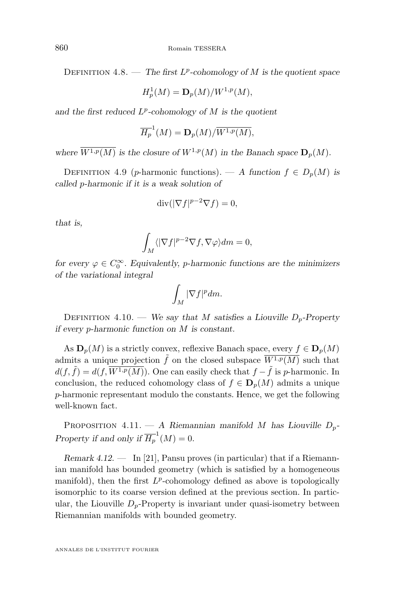<span id="page-10-0"></span>DEFINITION 4.8. — *The first L<sup>p</sup>-cohomology of* M *is the quotient space* 

$$
H_p^1(M) = \mathbf{D}_p(M)/W^{1,p}(M),
$$

*and the first reduced* L p *-cohomology of* M *is the quotient*

$$
\overline{H_p}^1(M) = \mathbf{D}_p(M) / \overline{W^{1,p}(M)},
$$

where  $\overline{W^{1,p}(M)}$  *is the closure of*  $W^{1,p}(M)$  *in the Banach space*  $D_n(M)$ *.* 

DEFINITION 4.9 (p-harmonic functions). — A function  $f \in D_p(M)$  is *called* p*-harmonic if it is a weak solution of*

$$
\operatorname{div}(|\nabla f|^{p-2}\nabla f) = 0,
$$

*that is,*

$$
\int_M \langle |\nabla f|^{p-2} \nabla f, \nabla \varphi \rangle dm = 0,
$$

*for every*  $\varphi \in C_0^{\infty}$ . *Equivalently, p-harmonic functions are the minimizers of the variational integral*

$$
\int_M |\nabla f|^p dm.
$$

DEFINITION 4.10. — *We say that M satisfies a Liouville D<sub>p</sub>-Property if every* p*-harmonic function on* M *is constant.*

As  $\mathbf{D}_p(M)$  is a strictly convex, reflexive Banach space, every  $f \in \mathbf{D}_p(M)$ admits a unique projection  $\tilde{f}$  on the closed subspace  $\overline{W^{1,p}(M)}$  such that  $d(f, \tilde{f}) = d(f, \overline{W^{1,p}(M)})$ . One can easily check that  $f - \tilde{f}$  is p-harmonic. In conclusion, the reduced cohomology class of  $f \in D_p(M)$  admits a unique p-harmonic representant modulo the constants. Hence, we get the following well-known fact.

PROPOSITION 4.11. — *A Riemannian manifold M* has Liouville  $D_p$ -*Property if and only if*  $\overline{H_p}^1(M) = 0$ .

*Remark 4.12. —* In [\[21\]](#page-26-0), Pansu proves (in particular) that if a Riemannian manifold has bounded geometry (which is satisfied by a homogeneous manifold), then the first  $L^p$ -cohomology defined as above is topologically isomorphic to its coarse version defined at the previous section. In particular, the Liouville  $D_p$ -Property is invariant under quasi-isometry between Riemannian manifolds with bounded geometry.

ANNALES DE L'INSTITUT FOURIER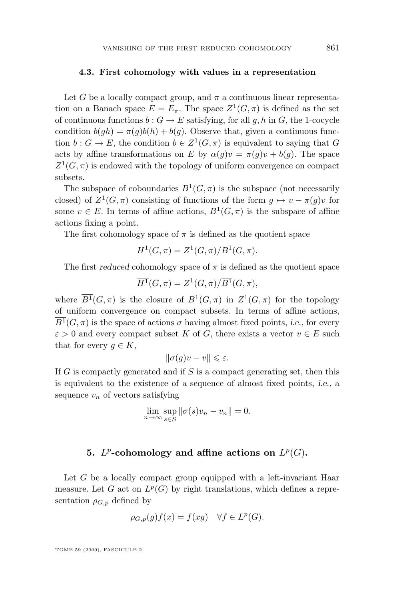#### <span id="page-11-0"></span>**4.3. First cohomology with values in a representation**

Let G be a locally compact group, and  $\pi$  a continuous linear representation on a Banach space  $E = E_{\pi}$ . The space  $Z^1(G, \pi)$  is defined as the set of continuous functions  $b: G \to E$  satisfying, for all g, h in G, the 1-cocycle condition  $b(gh) = \pi(g)b(h) + b(g)$ . Observe that, given a continuous function  $b: G \to E$ , the condition  $b \in Z^1(G, \pi)$  is equivalent to saying that G acts by affine transformations on E by  $\alpha(q)v = \pi(q)v + b(q)$ . The space  $Z^1(G,\pi)$  is endowed with the topology of uniform convergence on compact subsets.

The subspace of coboundaries  $B^1(G, \pi)$  is the subspace (not necessarily closed) of  $Z^1(G,\pi)$  consisting of functions of the form  $g \mapsto v - \pi(g)v$  for some  $v \in E$ . In terms of affine actions,  $B^1(G, \pi)$  is the subspace of affine actions fixing a point.

The first cohomology space of  $\pi$  is defined as the quotient space

$$
H^{1}(G, \pi) = Z^{1}(G, \pi)/B^{1}(G, \pi).
$$

The first *reduced* cohomology space of  $\pi$  is defined as the quotient space

$$
\overline{H^1}(G, \pi) = Z^1(G, \pi) / \overline{B^1}(G, \pi),
$$

where  $\overline{B^1}(G,\pi)$  is the closure of  $B^1(G,\pi)$  in  $Z^1(G,\pi)$  for the topology of uniform convergence on compact subsets. In terms of affine actions,  $\overline{B^1}(G,\pi)$  is the space of actions  $\sigma$  having almost fixed points, *i.e.*, for every  $\varepsilon > 0$  and every compact subset K of G, there exists a vector  $v \in E$  such that for every  $q \in K$ ,

$$
\|\sigma(g)v - v\| \leq \varepsilon.
$$

If  $G$  is compactly generated and if  $S$  is a compact generating set, then this is equivalent to the existence of a sequence of almost fixed points, *i.e.,* a sequence  $v_n$  of vectors satisfying

$$
\lim_{n \to \infty} \sup_{s \in S} \|\sigma(s)v_n - v_n\| = 0.
$$

#### **5.**  $L^p$ -cohomology and affine actions on  $L^p(G)$ .

Let  $G$  be a locally compact group equipped with a left-invariant Haar measure. Let G act on  $L^p(G)$  by right translations, which defines a representation  $\rho_{G,p}$  defined by

$$
\rho_{G,p}(g)f(x) = f(xg) \quad \forall f \in L^p(G).
$$

TOME 59 (2009), FASCICULE 2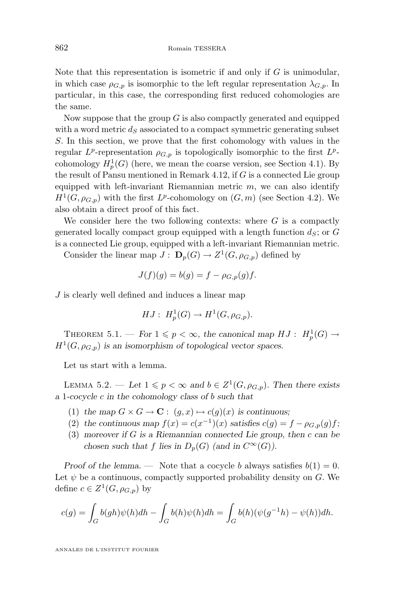<span id="page-12-0"></span>Note that this representation is isometric if and only if  $G$  is unimodular, in which case  $\rho_{G,p}$  is isomorphic to the left regular representation  $\lambda_{G,p}$ . In particular, in this case, the corresponding first reduced cohomologies are the same.

Now suppose that the group  $G$  is also compactly generated and equipped with a word metric  $d<sub>S</sub>$  associated to a compact symmetric generating subset S. In this section, we prove that the first cohomology with values in the regular  $L^p$ -representation  $\rho_{G,p}$  is topologically isomorphic to the first  $L^p$ cohomology  $H_p^1(G)$  (here, we mean the coarse version, see Section [4.1\)](#page-7-0). By the result of Pansu mentioned in Remark [4.12,](#page-10-0) if  $G$  is a connected Lie group equipped with left-invariant Riemannian metric  $m$ , we can also identify  $H^1(G,\rho_{G,p})$  with the first  $L^p$ -cohomology on  $(G,m)$  (see Section [4.2\)](#page-9-0). We also obtain a direct proof of this fact.

We consider here the two following contexts: where  $G$  is a compactly generated locally compact group equipped with a length function  $d_s$ ; or G is a connected Lie group, equipped with a left-invariant Riemannian metric.

Consider the linear map  $J: \mathbf{D}_p(G) \to Z^1(G, \rho_{G,p})$  defined by

$$
J(f)(g) = b(g) = f - \rho_{G,p}(g)f.
$$

J is clearly well defined and induces a linear map

$$
HJ: H_p^1(G) \to H^1(G, \rho_{G,p}).
$$

THEOREM 5.1. — For  $1 \leq p < \infty$ , the canonical map  $HJ : H_p^1(G) \to$  $H<sup>1</sup>(G, \rho_{G, p})$  is an isomorphism of topological vector spaces.

Let us start with a lemma.

LEMMA 5.2. — Let  $1 \leq p < \infty$  and  $b \in Z^1(G, \rho_{G,p})$ . Then there exists *a* 1*-cocycle* c *in the cohomology class of* b *such that*

- (1) the map  $G \times G \to \mathbf{C}$ :  $(g, x) \mapsto c(g)(x)$  is continuous;
- (2) the continuous map  $f(x) = c(x^{-1})(x)$  satisfies  $c(g) = f \rho_{G,p}(g)f$ ;
- (3) *moreover if* G *is a Riemannian connected Lie group, then* c *can be chosen such that* f *lies in*  $D_p(G)$  *(and in*  $C^{\infty}(G)$ *)*.

*Proof of the lemma.* — Note that a cocycle b always satisfies  $b(1) = 0$ . Let  $\psi$  be a continuous, compactly supported probability density on G. We define  $c \in Z^1(G, \rho_{G,p})$  by

$$
c(g) = \int_G b(gh)\psi(h)dh - \int_G b(h)\psi(h)dh = \int_G b(h)(\psi(g^{-1}h) - \psi(h))dh.
$$

ANNALES DE L'INSTITUT FOURIER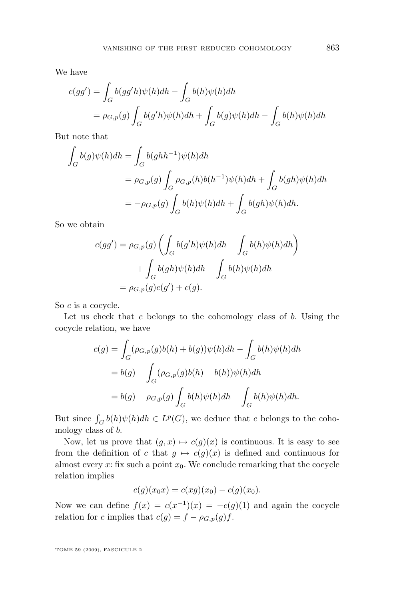We have

$$
c(gg') = \int_G b(gg'h)\psi(h)dh - \int_G b(h)\psi(h)dh
$$
  
=  $\rho_{G,p}(g) \int_G b(g'h)\psi(h)dh + \int_G b(g)\psi(h)dh - \int_G b(h)\psi(h)dh$ 

But note that

$$
\int_G b(g)\psi(h)dh = \int_G b(ghh^{-1})\psi(h)dh
$$
  
=  $\rho_{G,p}(g) \int_G \rho_{G,p}(h)b(h^{-1})\psi(h)dh + \int_G b(gh)\psi(h)dh$   
=  $-\rho_{G,p}(g) \int_G b(h)\psi(h)dh + \int_G b(gh)\psi(h)dh.$ 

So we obtain

$$
c(gg') = \rho_{G,p}(g) \left( \int_G b(g'h)\psi(h)dh - \int_G b(h)\psi(h)dh \right) + \int_G b(gh)\psi(h)dh - \int_G b(h)\psi(h)dh
$$

$$
= \rho_{G,p}(g)c(g') + c(g).
$$

So c is a cocycle.

Let us check that  $c$  belongs to the cohomology class of  $b$ . Using the cocycle relation, we have

$$
c(g) = \int_G (\rho_{G,p}(g)b(h) + b(g))\psi(h)dh - \int_G b(h)\psi(h)dh
$$
  
=  $b(g) + \int_G (\rho_{G,p}(g)b(h) - b(h))\psi(h)dh$   
=  $b(g) + \rho_{G,p}(g) \int_G b(h)\psi(h)dh - \int_G b(h)\psi(h)dh.$ 

But since  $\int_G b(h)\psi(h)dh \in L^p(G)$ , we deduce that c belongs to the cohomology class of b.

Now, let us prove that  $(g, x) \mapsto c(g)(x)$  is continuous. It is easy to see from the definition of c that  $g \mapsto c(g)(x)$  is defined and continuous for almost every x: fix such a point  $x_0$ . We conclude remarking that the cocycle relation implies

$$
c(g)(x_0x) = c(xg)(x_0) - c(g)(x_0).
$$

Now we can define  $f(x) = c(x^{-1})(x) = -c(g)(1)$  and again the cocycle relation for c implies that  $c(g) = f - \rho_{G,p}(g)f$ .

TOME 59 (2009), FASCICULE 2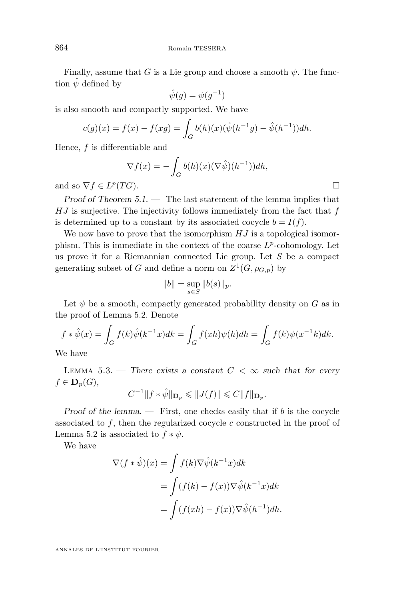<span id="page-14-0"></span>Finally, assume that G is a Lie group and choose a smooth  $\psi$ . The function  $\hat{\psi}$  defined by

$$
\hat{\psi}(g) = \psi(g^{-1})
$$

is also smooth and compactly supported. We have

$$
c(g)(x) = f(x) - f(xg) = \int_G b(h)(x)(\hat{\psi}(h^{-1}g) - \hat{\psi}(h^{-1}))dh.
$$

Hence,  $f$  is differentiable and

$$
\nabla f(x) = -\int_G b(h)(x) (\nabla \hat{\psi})(h^{-1})) dh,
$$
  
(TG).

and so  $\nabla f \in L^p$ 

*Proof of Theorem [5.1.](#page-12-0) —* The last statement of the lemma implies that  $HJ$  is surjective. The injectivity follows immediately from the fact that  $f$ is determined up to a constant by its associated cocycle  $b = I(f)$ .

We now have to prove that the isomorphism  $HJ$  is a topological isomorphism. This is immediate in the context of the coarse  $L^p$ -cohomology. Let us prove it for a Riemannian connected Lie group. Let  $S$  be a compact generating subset of G and define a norm on  $Z^1(G, \rho_{G,p})$  by

$$
||b|| = \sup_{s \in S} ||b(s)||_p.
$$

Let  $\psi$  be a smooth, compactly generated probability density on G as in the proof of Lemma [5.2.](#page-12-0) Denote

$$
f * \hat{\psi}(x) = \int_G f(k)\hat{\psi}(k^{-1}x)dk = \int_G f(xh)\psi(h)dh = \int_G f(k)\psi(x^{-1}k)dk.
$$

We have

LEMMA 5.3. — There exists a constant  $C < \infty$  such that for every  $f \in \mathbf{D}_p(G)$ ,

$$
C^{-1}||f * \hat{\psi}||_{\mathbf{D}_p} \leq ||J(f)|| \leq C||f||_{\mathbf{D}_p}.
$$

*Proof of the lemma.* — First, one checks easily that if b is the cocycle associated to  $f$ , then the regularized cocycle  $c$  constructed in the proof of Lemma [5.2](#page-12-0) is associated to  $f * \psi$ .

We have

$$
\nabla (f * \hat{\psi})(x) = \int f(k) \nabla \hat{\psi}(k^{-1}x) dk
$$
  
= 
$$
\int (f(k) - f(x)) \nabla \hat{\psi}(k^{-1}x) dk
$$
  
= 
$$
\int (f(xh) - f(x)) \nabla \hat{\psi}(h^{-1}) dh.
$$

ANNALES DE L'INSTITUT FOURIER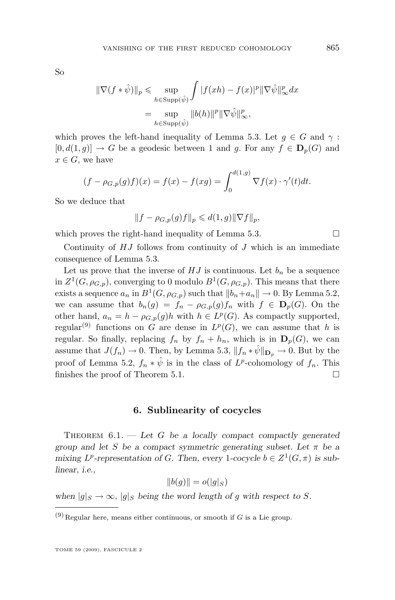<span id="page-15-0"></span>So

$$
\begin{aligned} \|\nabla (f * \hat{\psi})\|_{p} &\leq \sup_{h \in \text{Supp}(\hat{\psi})} \int |f(xh) - f(x)|^{p} \|\nabla \hat{\psi}\|_{\infty}^{p} dx \\ &= \sup_{h \in \text{Supp}(\hat{\psi})} \|b(h)\|^{p} \|\nabla \hat{\psi}\|_{\infty}^{p}, \end{aligned}
$$

which proves the left-hand inequality of Lemma [5.3.](#page-14-0) Let  $q \in G$  and  $\gamma$ :  $[0, d(1,g)] \to G$  be a geodesic between 1 and g. For any  $f \in \mathbf{D}_{p}(G)$  and  $x \in G$ , we have

$$
(f - \rho_{G,p}(g)f)(x) = f(x) - f(xg) = \int_0^{d(1,g)} \nabla f(x) \cdot \gamma'(t) dt.
$$

So we deduce that

$$
||f - \rho_{G,p}(g)f||_p \leq d(1,g)||\nabla f||_p,
$$

which proves the right-hand inequality of Lemma [5.3.](#page-14-0)  $\Box$ 

Continuity of  $HJ$  follows from continuity of  $J$  which is an immediate consequence of Lemma [5.3.](#page-14-0)

Let us prove that the inverse of  $HJ$  is continuous. Let  $b_n$  be a sequence in  $Z^1(G,\rho_{G,p})$ , converging to 0 modulo  $B^1(G,\rho_{G,p})$ . This means that there exists a sequence  $a_n$  in  $B^1(G, \rho_{G,p})$  such that  $||b_n+a_n|| \to 0$ . By Lemma [5.2,](#page-12-0) we can assume that  $b_n(g) = f_n - \rho_{G,p}(g) f_n$  with  $f \in \mathbf{D}_p(G)$ . On the other hand,  $a_n = h - \rho_{G,p}(g)h$  with  $h \in L^p(G)$ . As compactly supported, regular<sup>(9)</sup> functions on G are dense in  $L^p(G)$ , we can assume that h is regular. So finally, replacing  $f_n$  by  $f_n + h_n$ , which is in  $\mathbf{D}_p(G)$ , we can assume that  $J(f_n) \to 0$ . Then, by Lemma [5.3,](#page-14-0)  $||f_n * \hat{\psi}||_{\mathbf{D}_n} \to 0$ . But by the proof of Lemma [5.2,](#page-12-0)  $f_n * \hat{\psi}$  is in the class of  $L^p$ -cohomology of  $f_n$ . This finishes the proof of Theorem [5.1.](#page-12-0)  $\Box$ 

#### **6. Sublinearity of cocycles**

Theorem 6.1. — *Let* G *be a locally compact compactly generated group and let* S *be a compact symmetric generating subset. Let* π *be a* mixing  $L^p$ -representation of G. Then, every 1-cocycle  $b \in Z^1(G, \pi)$  is sub*linear, i.e.,*

$$
||b(g)|| = o(|g|_S)
$$

*when*  $|g|_S \to \infty$ ,  $|g|_S$  *being the word length of g with respect to S.* 

 $(9)$  Regular here, means either continuous, or smooth if G is a Lie group.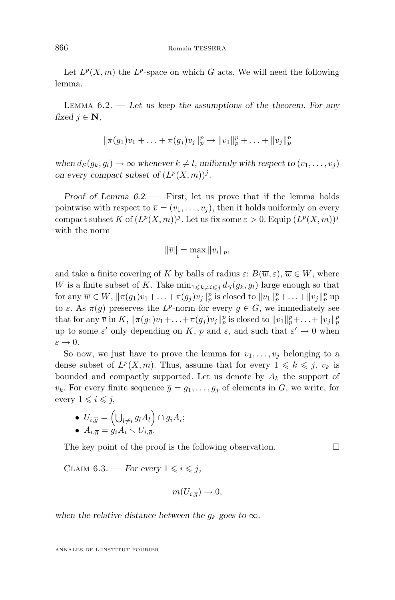<span id="page-16-0"></span>Let  $L^p(X, m)$  the  $L^p$ -space on which G acts. We will need the following lemma.

Lemma 6.2. — *Let us keep the assumptions of the theorem. For any fixed*  $j \in \mathbb{N}$ ,

$$
\|\pi(g_1)v_1 + \ldots + \pi(g_j)v_j\|_p^p \to \|v_1\|_p^p + \ldots + \|v_j\|_p^p
$$

*when*  $d_S(g_k, g_l) \to \infty$  *whenever*  $k \neq l$ *, uniformly with respect to*  $(v_1, \ldots, v_j)$ *on every compact subset of*  $(L^p(X,m))^j$ .

*Proof of Lemma 6.2. —* First, let us prove that if the lemma holds pointwise with respect to  $\overline{v} = (v_1, \ldots, v_j)$ , then it holds uniformly on every compact subset K of  $(L^p(X,m))^j$ . Let us fix some  $\varepsilon > 0$ . Equip  $(L^p(X,m))^j$ with the norm

$$
\|\overline{v}\| = \max_i \|v_i\|_p,
$$

and take a finite covering of K by balls of radius  $\varepsilon: B(\overline{w}, \varepsilon), \overline{w} \in W$ , where W is a finite subset of K. Take  $\min_{1\leq k\neq i\leq j} d_S(g_k, g_l)$  large enough so that for any  $\overline{w} \in W$ ,  $\|\pi(g_1)v_1 + \ldots + \pi(g_j)v_j\|_p^p$  is closed to  $\|v_1\|_p^p + \ldots + \|v_j\|_p^p$  up to  $\varepsilon$ . As  $\pi(g)$  preserves the L<sup>p</sup>-norm for every  $g \in G$ , we immediately see that for any  $\overline{v}$  in  $K$ ,  $\|\pi(g_1)v_1+\ldots+\pi(g_j)v_j\|_p^p$  is closed to  $\|v_1\|_p^p+\ldots+\|v_j\|_p^p$ up to some  $\varepsilon'$  only depending on K, p and  $\varepsilon$ , and such that  $\varepsilon' \to 0$  when  $\varepsilon \to 0$ .

So now, we just have to prove the lemma for  $v_1, \ldots, v_j$  belonging to a dense subset of  $L^p(X,m)$ . Thus, assume that for every  $1 \leq k \leq j$ ,  $v_k$  is bounded and compactly supported. Let us denote by  $A_k$  the support of  $v_k$ . For every finite sequence  $\overline{g} = g_1, \ldots, g_j$  of elements in G, we write, for every  $1 \leq i \leq j$ ,

• 
$$
U_{i,\overline{g}} = (\bigcup_{l \neq i} g_l A_l) \cap g_i A_i;
$$

 $\begin{array}{l} \bullet \ \ \circ \ \circ_{i,g} - \bigcup_{l \neq i} g_l A_l \ \bullet \ A_{i,\overline{g}} = g_i A_i \smallsetminus U_{i,\overline{g}}. \end{array}$ 

The key point of the proof is the following observation.  $\Box$ 

CLAIM  $6.3.$  — *For every*  $1 \leq i \leq j$ ,

$$
m(U_{i,\overline{g}}) \to 0,
$$

when the relative distance between the  $g_k$  goes to  $\infty$ *.* 

ANNALES DE L'INSTITUT FOURIER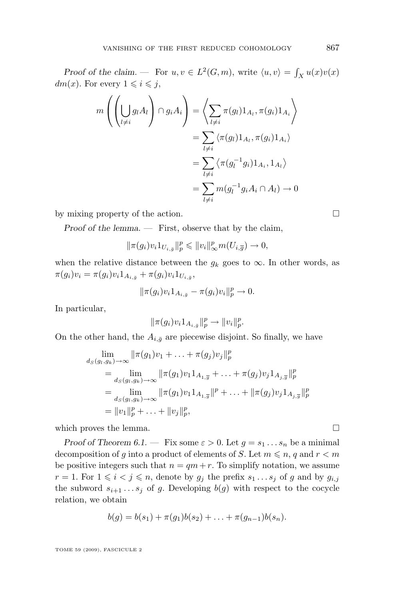*Proof of the claim.* — For  $u, v \in L^2(G, m)$ , write  $\langle u, v \rangle = \int_X u(x)v(x)$  $dm(x)$ . For every  $1 \leq i \leq j$ ,

$$
m\left(\left(\bigcup_{l\neq i} g_l A_l\right) \cap g_i A_i\right) = \left\langle \sum_{l\neq i} \pi(g_l) 1_{A_l}, \pi(g_i) 1_{A_i} \right\rangle
$$
  
= 
$$
\sum_{l\neq i} \left\langle \pi(g_l) 1_{A_l}, \pi(g_i) 1_{A_i} \right\rangle
$$
  
= 
$$
\sum_{l\neq i} \left\langle \pi(g_l^{-1} g_i) 1_{A_i}, 1_{A_l} \right\rangle
$$
  
= 
$$
\sum_{l\neq i} m(g_l^{-1} g_i A_i \cap A_l) \to 0
$$

by mixing property of the action.

*Proof of the lemma. —* First, observe that by the claim,

$$
\|\pi(g_i)v_i1_{U_{i,\overline{g}}}\|_p^p \leqslant \|v_i\|_\infty^pm(U_{i,\overline{g}}) \to 0,
$$

when the relative distance between the  $g_k$  goes to  $\infty$ . In other words, as  $\pi(g_i)v_i = \pi(g_i)v_i 1_{A_{i,\bar{g}}} + \pi(g_i)v_i 1_{U_{i,\bar{g}}},$ 

$$
\|\pi(g_i)v_i 1_{A_{i,\bar{g}}}-\pi(g_i)v_i\|_p^p \to 0.
$$

In particular,

$$
\|\pi(g_i)v_i 1_{A_{i,\bar{g}}}\|_p^p \to \|v_i\|_p^p.
$$

On the other hand, the  $A_{i,\bar{q}}$  are piecewise disjoint. So finally, we have

$$
\lim_{d_S(g_l,g_k)\to\infty} \|\pi(g_1)v_1 + \ldots + \pi(g_j)v_j\|_p^p
$$
\n
$$
= \lim_{d_S(g_l,g_k)\to\infty} \|\pi(g_1)v_1\|_{A_{1,\overline{g}}} + \ldots + \pi(g_j)v_j\|_{A_{j,\overline{g}}}\|_p^p
$$
\n
$$
= \lim_{d_S(g_l,g_k)\to\infty} \|\pi(g_1)v_1\|_{A_{1,\overline{g}}}\|_p^p + \ldots + \|\pi(g_j)v_j\|_{A_{j,\overline{g}}}\|_p^p
$$
\n
$$
= \|v_1\|_p^p + \ldots + \|v_j\|_p^p,
$$

which proves the lemma.  $\Box$ 

*Proof of Theorem [6.1.](#page-15-0)* — Fix some  $\varepsilon > 0$ . Let  $g = s_1 \dots s_n$  be a minimal decomposition of g into a product of elements of S. Let  $m \leq n$ , q and  $r < m$ be positive integers such that  $n = qm + r$ . To simplify notation, we assume  $r = 1$ . For  $1 \leq i < j \leq n$ , denote by  $g_j$  the prefix  $s_1 \ldots s_j$  of g and by  $g_{i,j}$ the subword  $s_{i+1} \ldots s_j$  of g. Developing  $b(g)$  with respect to the cocycle relation, we obtain

$$
b(g) = b(s_1) + \pi(g_1)b(s_2) + \ldots + \pi(g_{n-1})b(s_n).
$$

TOME 59 (2009), FASCICULE 2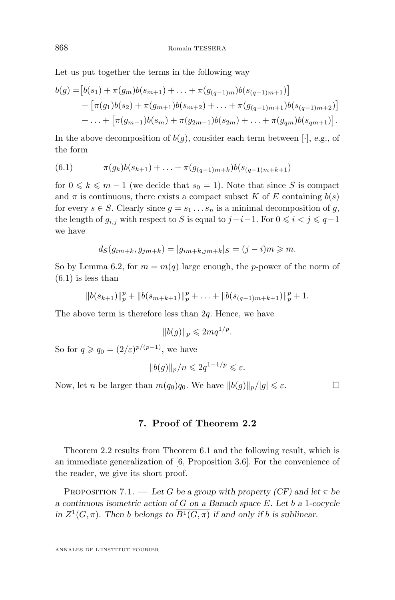<span id="page-18-0"></span>Let us put together the terms in the following way

$$
b(g) = [b(s_1) + \pi(g_m)b(s_{m+1}) + \dots + \pi(g_{(q-1)m})b(s_{(q-1)m+1})]
$$
  
+ 
$$
[\pi(g_1)b(s_2) + \pi(g_{m+1})b(s_{m+2}) + \dots + \pi(g_{(q-1)m+1})b(s_{(q-1)m+2})]
$$
  
+ 
$$
\dots + [\pi(g_{m-1})b(s_m) + \pi(g_{2m-1})b(s_{2m}) + \dots + \pi(g_{qm})b(s_{qm+1})].
$$

In the above decomposition of  $b(q)$ , consider each term between [ $\cdot$ ], *e.g.*, of the form

(6.1) 
$$
\pi(g_k)b(s_{k+1}) + \ldots + \pi(g_{(q-1)m+k})b(s_{(q-1)m+k+1})
$$

for  $0 \leq k \leq m-1$  (we decide that  $s_0 = 1$ ). Note that since S is compact and  $\pi$  is continuous, there exists a compact subset K of E containing  $b(s)$ for every  $s \in S$ . Clearly since  $g = s_1 \dots s_n$  is a minimal decomposition of g, the length of  $g_{i,j}$  with respect to S is equal to  $j-i-1$ . For  $0 \leq i < j \leq q-1$ we have

$$
d_S(g_{im+k}, g_{jm+k}) = |g_{im+k,jm+k}|_S = (j-i)m \ge m.
$$

So by Lemma [6.2,](#page-16-0) for  $m = m(q)$  large enough, the *p*-power of the norm of  $(6.1)$  is less than

$$
||b(s_{k+1})||_p^p + ||b(s_{m+k+1})||_p^p + \ldots + ||b(s_{(q-1)m+k+1})||_p^p + 1.
$$

The above term is therefore less than  $2q$ . Hence, we have

$$
||b(g)||_p \leq 2mq^{1/p}.
$$

So for  $q \geqslant q_0 = (2/\varepsilon)^{p/(p-1)}$ , we have

$$
||b(g)||_p/n \leq 2q^{1-1/p} \leq \varepsilon.
$$

Now, let *n* be larger than  $m(q_0)q_0$ . We have  $||b(g)||_p/|g| \leq \varepsilon$ .

#### **7. Proof of Theorem [2.2](#page-4-0)**

Theorem [2.2](#page-4-0) results from Theorem [6.1](#page-15-0) and the following result, which is an immediate generalization of [\[6,](#page-25-0) Proposition 3.6]. For the convenience of the reader, we give its short proof.

PROPOSITION 7.1. — Let G be a group with property  $(CF)$  and let  $\pi$  be *a continuous isometric action of* G *on a Banach space* E*. Let* b *a* 1*-cocycle in*  $Z^1(G,\pi)$ *. Then b belongs to*  $\overline{B^1(G,\pi)}$  *if and only if b is sublinear.*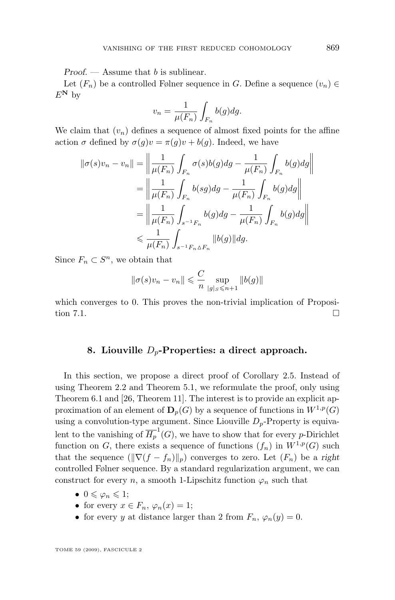<span id="page-19-0"></span>*Proof.* — Assume that b is sublinear.

Let  $(F_n)$  be a controlled Følner sequence in G. Define a sequence  $(v_n) \in$  $E^{\mathbf{N}}$  by

$$
v_n = \frac{1}{\mu(F_n)} \int_{F_n} b(g) dg.
$$

We claim that  $(v_n)$  defines a sequence of almost fixed points for the affine action  $\sigma$  defined by  $\sigma(q)v = \pi(q)v + b(q)$ . Indeed, we have

$$
\begin{aligned} \|\sigma(s)v_n - v_n\| &= \left\|\frac{1}{\mu(F_n)}\int_{F_n} \sigma(s)b(g)dg - \frac{1}{\mu(F_n)}\int_{F_n} b(g)dg\right\| \\ &= \left\|\frac{1}{\mu(F_n)}\int_{F_n} b(sg)dg - \frac{1}{\mu(F_n)}\int_{F_n} b(g)dg\right\| \\ &= \left\|\frac{1}{\mu(F_n)}\int_{s^{-1}F_n} b(g)dg - \frac{1}{\mu(F_n)}\int_{F_n} b(g)dg\right\| \\ &\leqslant \frac{1}{\mu(F_n)}\int_{s^{-1}F_n\Delta F_n} \|b(g)\| dg. \end{aligned}
$$

Since  $F_n \subset S^n$ , we obtain that

$$
||\sigma(s)v_n - v_n|| \leq \frac{C}{n} \sup_{|g|_S \leq n+1} ||b(g)||
$$

which converges to 0. This proves the non-trivial implication of Proposi-tion [7.1.](#page-18-0)  $\Box$ 

#### **8. Liouville** Dp**-Properties: a direct approach.**

In this section, we propose a direct proof of Corollary [2.5.](#page-5-0) Instead of using Theorem [2.2](#page-4-0) and Theorem [5.1,](#page-12-0) we reformulate the proof, only using Theorem [6.1](#page-15-0) and [\[26,](#page-26-0) Theorem 11]. The interest is to provide an explicit approximation of an element of  $\mathbf{D}_p(G)$  by a sequence of functions in  $W^{1,p}(G)$ using a convolution-type argument. Since Liouville  $D_p$ -Property is equivalent to the vanishing of  $\overline{H_p}^1(G)$ , we have to show that for every *p*-Dirichlet function on G, there exists a sequence of functions  $(f_n)$  in  $W^{1,p}(G)$  such that the sequence  $(\|\nabla (f - f_n)\|_p)$  converges to zero. Let  $(F_n)$  be a *right* controlled Følner sequence. By a standard regularization argument, we can construct for every n, a smooth 1-Lipschitz function  $\varphi_n$  such that

- $0 \leqslant \varphi_n \leqslant 1;$
- for every  $x \in F_n$ ,  $\varphi_n(x) = 1$ ;
- for every y at distance larger than 2 from  $F_n$ ,  $\varphi_n(y) = 0$ .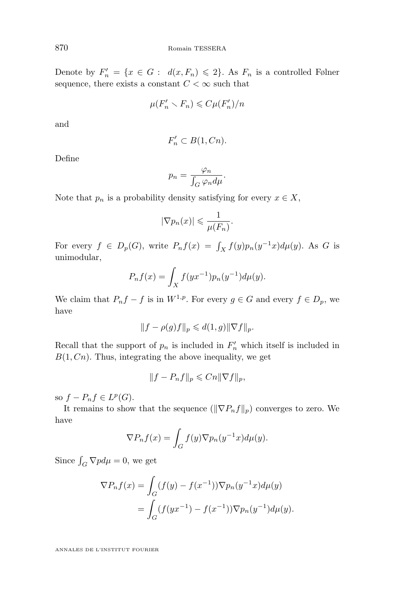Denote by  $F'_n = \{x \in G : d(x, F_n) \leq 2\}$ . As  $F_n$  is a controlled Følner sequence, there exists a constant  $C<\infty$  such that

$$
\mu(F'_n \setminus F_n) \leqslant C\mu(F'_n)/n
$$

and

$$
F'_n \subset B(1,Cn).
$$

Define

$$
p_n = \frac{\varphi_n}{\int_G \varphi_n d\mu}.
$$

Note that  $p_n$  is a probability density satisfying for every  $x \in X$ ,

$$
|\nabla p_n(x)| \leqslant \frac{1}{\mu(F_n)}.
$$

For every  $f \in D_p(G)$ , write  $P_n f(x) = \int_X f(y) p_n(y^{-1}x) d\mu(y)$ . As G is unimodular,

$$
P_n f(x) = \int_X f(yx^{-1}) p_n(y^{-1}) d\mu(y).
$$

We claim that  $P_n f - f$  is in  $W^{1,p}$ . For every  $g \in G$  and every  $f \in D_p$ , we have

$$
||f - \rho(g)f||_p \leqslant d(1,g) ||\nabla f||_p.
$$

Recall that the support of  $p_n$  is included in  $F'_n$  which itself is included in  $B(1, Cn)$ . Thus, integrating the above inequality, we get

$$
||f - P_nf||_p \leqslant Cn||\nabla f||_p,
$$

so  $f - P_n f \in L^p(G)$ .

It remains to show that the sequence  $(\|\nabla P_n f\|_p)$  converges to zero. We have

$$
\nabla P_n f(x) = \int_G f(y) \nabla p_n(y^{-1}x) d\mu(y).
$$

Since  $\int_G \nabla p d\mu = 0$ , we get

$$
\nabla P_n f(x) = \int_G (f(y) - f(x^{-1})) \nabla p_n(y^{-1}x) d\mu(y)
$$
  
= 
$$
\int_G (f(yx^{-1}) - f(x^{-1})) \nabla p_n(y^{-1}) d\mu(y).
$$

ANNALES DE L'INSTITUT FOURIER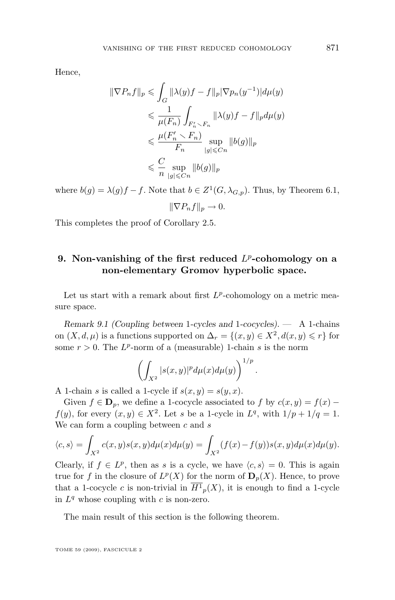<span id="page-21-0"></span>Hence,

$$
\begin{aligned} \|\nabla P_n f\|_p &\leqslant \int_G \|\lambda(y)f - f\|_p |\nabla p_n(y^{-1})| d\mu(y) \\ &\leqslant \frac{1}{\mu(F_n)} \int_{F'_n \backslash F_n} \|\lambda(y)f - f\|_p d\mu(y) \\ &\leqslant \frac{\mu(F'_n \backslash F_n)}{F_n} \sup_{|g| \leqslant C_n} \|b(g)\|_p \\ &\leqslant \frac{C}{n} \sup_{|g| \leqslant Cn} \|b(g)\|_p \end{aligned}
$$

where  $b(g) = \lambda(g)f - f$ . Note that  $b \in Z^1(G, \lambda_{G,p})$ . Thus, by Theorem [6.1,](#page-15-0)

$$
\|\nabla P_n f\|_p \to 0.
$$

This completes the proof of Corollary [2.5.](#page-5-0)

#### **9.** Non-vanishing of the first reduced  $L^p$ -cohomology on a **non-elementary Gromov hyperbolic space.**

Let us start with a remark about first  $L^p$ -cohomology on a metric measure space.

*Remark 9.1 (Coupling between* 1*-cycles and* 1*-cocycles). —* A 1-chains on  $(X, d, \mu)$  is a functions supported on  $\Delta_r = \{(x, y) \in X^2, d(x, y) \leq r\}$  for some  $r > 0$ . The  $L^p$ -norm of a (measurable) 1-chain s is the norm

$$
\left(\int_{X^2} |s(x,y)|^p d\mu(x)d\mu(y)\right)^{1/p}
$$

.

A 1-chain s is called a 1-cycle if  $s(x, y) = s(y, x)$ .

Given  $f \in \mathbf{D}_n$ , we define a 1-cocycle associated to f by  $c(x, y) = f(x)$  $f(y)$ , for every  $(x, y) \in X^2$ . Let s be a 1-cycle in  $L^q$ , with  $1/p + 1/q = 1$ . We can form a coupling between  $c$  and  $s$ 

$$
\langle c, s \rangle = \int_{X^2} c(x, y) s(x, y) d\mu(x) d\mu(y) = \int_{X^2} (f(x) - f(y)) s(x, y) d\mu(x) d\mu(y).
$$

Clearly, if  $f \in L^p$ , then as s is a cycle, we have  $\langle c, s \rangle = 0$ . This is again true for f in the closure of  $L^p(X)$  for the norm of  $\mathbf{D}_p(X)$ . Hence, to prove that a 1-cocycle c is non-trivial in  $H_{p}(X)$ , it is enough to find a 1-cycle in  $L^q$  whose coupling with c is non-zero.

The main result of this section is the following theorem.

TOME 59 (2009), FASCICULE 2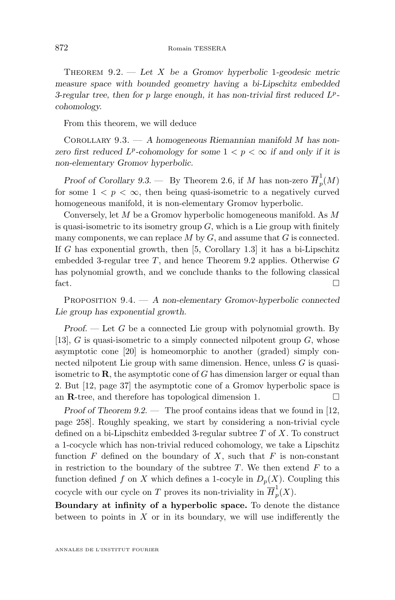<span id="page-22-0"></span>Theorem 9.2. — *Let* X *be a Gromov hyperbolic* 1*-geodesic metric measure space with bounded geometry having a bi-Lipschitz embedded 3-regular tree, then for* p *large enough, it has non-trivial first reduced* L p  *cohomology.*

From this theorem, we will deduce

Corollary 9.3. — *A homogeneous Riemannian manifold* M *has nonzero first reduced*  $L^p$ -cohomology for some  $1 < p < \infty$  *if and only if it is non-elementary Gromov hyperbolic.*

*Proof of Corollary* 9.3. — By Theorem [2.6,](#page-6-0) if M has non-zero  $\overline{H}_p^1$  $_p^{\mathsf{\scriptscriptstyle T}}(M)$ for some  $1 \leq p \leq \infty$ , then being quasi-isometric to a negatively curved homogeneous manifold, it is non-elementary Gromov hyperbolic.

Conversely, let M be a Gromov hyperbolic homogeneous manifold. As M is quasi-isometric to its isometry group  $G$ , which is a Lie group with finitely many components, we can replace  $M$  by  $G$ , and assume that  $G$  is connected. If G has exponential growth, then  $[5,$  Corollary 1.3] it has a bi-Lipschitz embedded 3-regular tree  $T$ , and hence Theorem [9.2](#page-21-0) applies. Otherwise  $G$ has polynomial growth, and we conclude thanks to the following classical fact.

Proposition 9.4. — *A non-elementary Gromov-hyperbolic connected Lie group has exponential growth.*

*Proof. —* Let G be a connected Lie group with polynomial growth. By [\[13\]](#page-26-0),  $G$  is quasi-isometric to a simply connected nilpotent group  $G$ , whose asymptotic cone [\[20\]](#page-26-0) is homeomorphic to another (graded) simply connected nilpotent Lie group with same dimension. Hence, unless  $G$  is quasiisometric to  $\bf{R}$ , the asymptotic cone of G has dimension larger or equal than 2. But [\[12,](#page-26-0) page 37] the asymptotic cone of a Gromov hyperbolic space is an **R**-tree, and therefore has topological dimension 1.  $\Box$ 

*Proof of Theorem [9.2.](#page-21-0)* — The proof contains ideas that we found in [\[12,](#page-26-0) page 258]. Roughly speaking, we start by considering a non-trivial cycle defined on a bi-Lipschitz embedded 3-regular subtree  $T$  of  $X$ . To construct a 1-cocycle which has non-trivial reduced cohomology, we take a Lipschitz function  $F$  defined on the boundary of  $X$ , such that  $F$  is non-constant in restriction to the boundary of the subtree  $T$ . We then extend  $F$  to a function defined f on X which defines a 1-cocyle in  $D_p(X)$ . Coupling this cocycle with our cycle on T proves its non-triviality in  $\overline{H}_n^1$  $_{p}^{\mathfrak{t}}(X).$ 

**Boundary at infinity of a hyperbolic space.** To denote the distance between to points in  $X$  or in its boundary, we will use indifferently the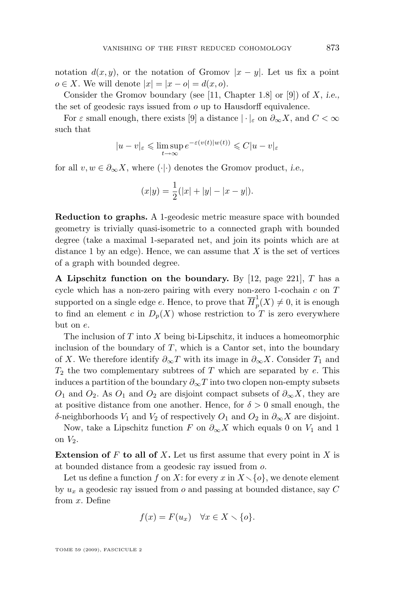notation  $d(x, y)$ , or the notation of Gromov  $|x - y|$ . Let us fix a point  $o \in X$ . We will denote  $|x| = |x - o| = d(x, o)$ .

Consider the Gromov boundary (see [\[11,](#page-26-0) Chapter 1.8] or [\[9\]](#page-26-0)) of X, *i.e.,* the set of geodesic rays issued from o up to Hausdorff equivalence.

For  $\varepsilon$  small enough, there exists [\[9\]](#page-26-0) a distance  $|\cdot|_{\varepsilon}$  on  $\partial_{\infty}X$ , and  $C < \infty$ such that

$$
|u - v|_{\varepsilon} \leq \limsup_{t \to \infty} e^{-\varepsilon (v(t)|w(t))} \leq C |u - v|_{\varepsilon}
$$

for all  $v, w \in \partial_{\infty} X$ , where  $(\cdot | \cdot)$  denotes the Gromov product, *i.e.*,

$$
(x|y) = \frac{1}{2}(|x| + |y| - |x - y|).
$$

**Reduction to graphs.** A 1-geodesic metric measure space with bounded geometry is trivially quasi-isometric to a connected graph with bounded degree (take a maximal 1-separated net, and join its points which are at distance 1 by an edge). Hence, we can assume that  $X$  is the set of vertices of a graph with bounded degree.

**A Lipschitz function on the boundary.** By [\[12,](#page-26-0) page 221], T has a cycle which has a non-zero pairing with every non-zero 1-cochain  $c$  on  $T$ supported on a single edge  $e$ . Hence, to prove that  $\overline{H}_p^1$  $p(x) \neq 0$ , it is enough to find an element c in  $D_p(X)$  whose restriction to T is zero everywhere but on e.

The inclusion of  $T$  into  $X$  being bi-Lipschitz, it induces a homeomorphic inclusion of the boundary of  $T$ , which is a Cantor set, into the boundary of X. We therefore identify  $\partial_{\infty}T$  with its image in  $\partial_{\infty}X$ . Consider  $T_1$  and  $T_2$  the two complementary subtrees of T which are separated by e. This induces a partition of the boundary  $\partial_{\infty}T$  into two clopen non-empty subsets  $O_1$  and  $O_2$ . As  $O_1$  and  $O_2$  are disjoint compact subsets of  $\partial_{\infty} X$ , they are at positive distance from one another. Hence, for  $\delta > 0$  small enough, the δ-neighborhoods  $V_1$  and  $V_2$  of respectively  $O_1$  and  $O_2$  in  $\partial_{\infty} X$  are disjoint.

Now, take a Lipschitz function F on  $\partial_{\infty} X$  which equals 0 on  $V_1$  and 1 on  $V_2$ .

**Extension of** F **to all of** X**.** Let us first assume that every point in X is at bounded distance from a geodesic ray issued from o.

Let us define a function f on X: for every x in  $X\setminus\{o\}$ , we denote element by  $u_x$  a geodesic ray issued from o and passing at bounded distance, say C from x. Define

$$
f(x) = F(u_x) \quad \forall x \in X \setminus \{o\}.
$$

TOME 59 (2009), FASCICULE 2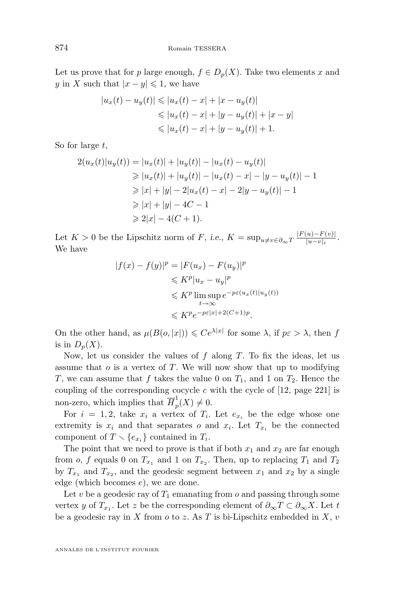Let us prove that for p large enough,  $f \in D_p(X)$ . Take two elements x and y in X such that  $|x-y| \leq 1$ , we have

$$
|u_x(t) - u_y(t)| \le |u_x(t) - x| + |x - u_y(t)|
$$
  
\n
$$
\le |u_x(t) - x| + |y - u_y(t)| + |x - y|
$$
  
\n
$$
\le |u_x(t) - x| + |y - u_y(t)| + 1.
$$

So for large  $t$ ,

$$
2(u_x(t)|u_y(t)) = |u_x(t)| + |u_y(t)| - |u_x(t) - u_y(t)|
$$
  
\n
$$
\ge |u_x(t)| + |u_y(t)| - |u_x(t) - x| - |y - u_y(t)| - 1
$$
  
\n
$$
\ge |x| + |y| - 2|u_x(t) - x| - 2|y - u_y(t)| - 1
$$
  
\n
$$
\ge |x| + |y| - 4C - 1
$$
  
\n
$$
\ge 2|x| - 4(C + 1).
$$

Let  $K > 0$  be the Lipschitz norm of F, i.e.,  $K = \sup_{u \neq v \in \partial_{\infty}T} \frac{|F(u) - F(v)|}{|u - v|_{\varepsilon}}$  $\frac{|u|-F(v)|}{|u-v|_{\varepsilon}}$ . We have

$$
|f(x) - f(y)|^p = |F(u_x) - F(u_y)|^p
$$
  
\n
$$
\leqslant K^p |u_x - u_y|^p
$$
  
\n
$$
\leqslant K^p \limsup_{t \to \infty} e^{-p\varepsilon(u_x(t)|u_y(t))}
$$
  
\n
$$
\leqslant K^p e^{-p\varepsilon|x| + 2(C+1)p}.
$$

On the other hand, as  $\mu(B(o, |x|)) \leqslant Ce^{\lambda |x|}$  for some  $\lambda$ , if  $p\varepsilon > \lambda$ , then f is in  $D_n(X)$ .

Now, let us consider the values of  $f$  along  $T$ . To fix the ideas, let us assume that  $o$  is a vertex of  $T$ . We will now show that up to modifying T, we can assume that f takes the value 0 on  $T_1$ , and 1 on  $T_2$ . Hence the coupling of the corresponding cocycle  $c$  with the cycle of [\[12,](#page-26-0) page 221] is non-zero, which implies that  $\overline{H}_{p}^{1}$  $_{p}^{\infty}(X)\neq 0.$ 

For  $i = 1, 2$ , take  $x_i$  a vertex of  $T_i$ . Let  $e_{x_i}$  be the edge whose one extremity is  $x_i$  and that separates o and  $x_i$ . Let  $T_{x_i}$  be the connected component of  $T \setminus \{e_{x_i}\}\)$  contained in  $T_i$ .

The point that we need to prove is that if both  $x_1$  and  $x_2$  are far enough from  $o$ ,  $f$  equals 0 on  $T_{x_1}$  and 1 on  $T_{x_2}$ . Then, up to replacing  $T_1$  and  $T_2$ by  $T_{x_1}$  and  $T_{x_2}$ , and the geodesic segment between  $x_1$  and  $x_2$  by a single edge (which becomes e), we are done.

Let v be a geodesic ray of  $T_1$  emanating from o and passing through some vertex y of  $T_{x_1}$ . Let z be the corresponding element of  $\partial_{\infty} T \subset \partial_{\infty} X$ . Let t be a geodesic ray in X from  $o$  to z. As T is bi-Lipschitz embedded in X,  $v$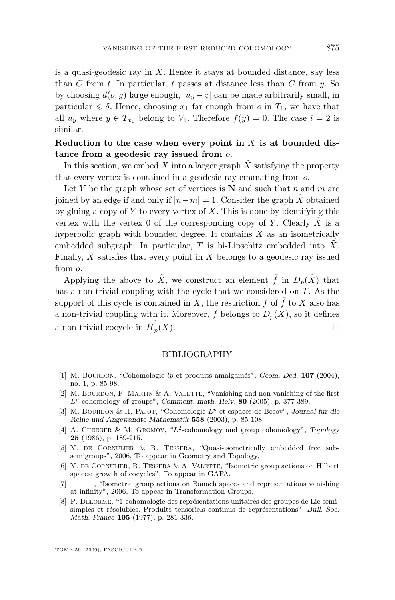<span id="page-25-0"></span>is a quasi-geodesic ray in  $X$ . Hence it stays at bounded distance, say less than C from t. In particular, t passes at distance less than C from  $y$ . So by choosing  $d(o, y)$  large enough,  $|u_y - z|$  can be made arbitrarily small, in particular  $\leq \delta$ . Hence, choosing  $x_1$  far enough from o in  $T_1$ , we have that all  $u_y$  where  $y \in T_{x_1}$  belong to  $V_1$ . Therefore  $f(y) = 0$ . The case  $i = 2$  is similar.

#### **Reduction to the case when every point in** X **is at bounded distance from a geodesic ray issued from** o**.**

In this section, we embed X into a larger graph  $\tilde{X}$  satisfying the property that every vertex is contained in a geodesic ray emanating from o.

Let Y be the graph whose set of vertices is  $N$  and such that n and m are joined by an edge if and only if  $|n-m|=1$ . Consider the graph  $\tilde{X}$  obtained by gluing a copy of Y to every vertex of X. This is done by identifying this vertex with the vertex 0 of the corresponding copy of Y. Clearly X is a hyperbolic graph with bounded degree. It contains  $X$  as an isometrically embedded subgraph. In particular,  $T$  is bi-Lipschitz embedded into  $\overline{X}$ . Finally,  $\tilde{X}$  satisfies that every point in  $\tilde{X}$  belongs to a geodesic ray issued from o.

Applying the above to  $\tilde{X}$ , we construct an element  $\tilde{f}$  in  $D_n(\tilde{X})$  that has a non-trivial coupling with the cycle that we considered on T. As the support of this cycle is contained in  $X$ , the restriction f of f to X also has a non-trivial coupling with it. Moreover, f belongs to  $D_p(X)$ , so it defines a non-trivial cocycle in  $\overline{H}_v^1$ p  $(X)$ .

#### BIBLIOGRAPHY

- [1] M. Bourdon, "Cohomologie lp et produits amalgamés", *Geom. Ded.* **107** (2004), no. 1, p. 85-98.
- [2] M. BOURDON, F. MARTIN & A. VALETTE, "Vanishing and non-vanishing of the first Lp-cohomology of groups", *Comment. math. Helv.* **80** (2005), p. 377-389.
- [3] M. BOURDON & H. PAJOT, "Cohomologie  $L^p$  et espaces de Besov", *Journal fur die Reine und Angewandte Mathematik* **558** (2003), p. 85-108.
- [4] A. CHEEGER & M. GROMOV, "L<sup>2</sup>-cohomology and group cohomology", *Topology* **25** (1986), p. 189-215.
- [5] Y. de Cornulier & R. Tessera, "Quasi-isometrically embedded free subsemigroups", 2006, To appear in Geometry and Topology.
- [6] Y. de Cornulier, R. Tessera & A. Valette, "Isometric group actions on Hilbert spaces: growth of cocycles", To appear in GAFA.
- [7] ——— , "Isometric group actions on Banach spaces and representations vanishing at infinity", 2006, To appear in Transformation Groups.
- [8] P. Delorme, "1-cohomologie des représentations unitaires des groupes de Lie semisimples et résolubles. Produits tensoriels continus de représentations", *Bull. Soc. Math. France* **105** (1977), p. 281-336.